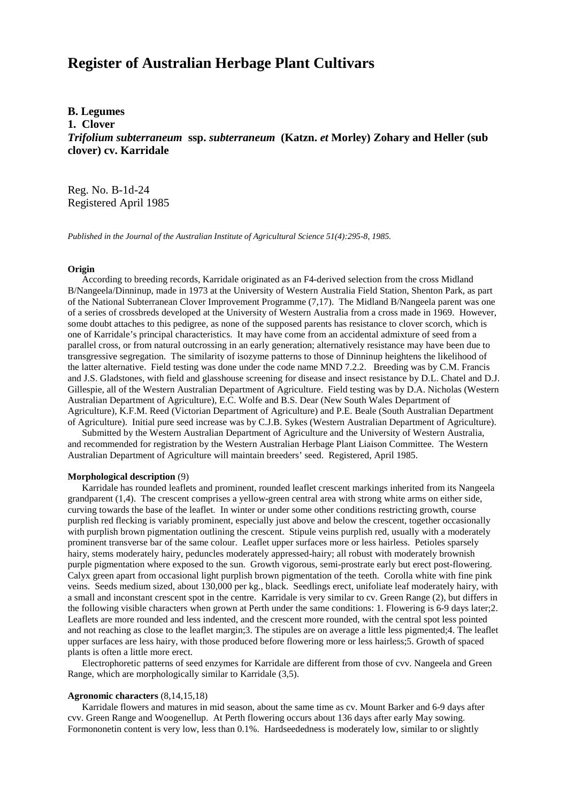# **Register of Australian Herbage Plant Cultivars**

## **B. Legumes**

**1. Clover**

*Trifolium subterraneum* **ssp.** *subterraneum* **(Katzn.** *et* **Morley) Zohary and Heller (sub clover) cv. Karridale**

Reg. No. B-1d-24 Registered April 1985

*Published in the Journal of the Australian Institute of Agricultural Science 51(4):295-8, 1985.*

#### **Origin**

 According to breeding records, Karridale originated as an F4-derived selection from the cross Midland B/Nangeela/Dinninup, made in 1973 at the University of Western Australia Field Station, Shenton Park, as part of the National Subterranean Clover Improvement Programme (7,17). The Midland B/Nangeela parent was one of a series of crossbreds developed at the University of Western Australia from a cross made in 1969. However, some doubt attaches to this pedigree, as none of the supposed parents has resistance to clover scorch, which is one of Karridale's principal characteristics. It may have come from an accidental admixture of seed from a parallel cross, or from natural outcrossing in an early generation; alternatively resistance may have been due to transgressive segregation. The similarity of isozyme patterns to those of Dinninup heightens the likelihood of the latter alternative. Field testing was done under the code name MND 7.2.2. Breeding was by C.M. Francis and J.S. Gladstones, with field and glasshouse screening for disease and insect resistance by D.L. Chatel and D.J. Gillespie, all of the Western Australian Department of Agriculture. Field testing was by D.A. Nicholas (Western Australian Department of Agriculture), E.C. Wolfe and B.S. Dear (New South Wales Department of Agriculture), K.F.M. Reed (Victorian Department of Agriculture) and P.E. Beale (South Australian Department of Agriculture). Initial pure seed increase was by C.J.B. Sykes (Western Australian Department of Agriculture).

 Submitted by the Western Australian Department of Agriculture and the University of Western Australia, and recommended for registration by the Western Australian Herbage Plant Liaison Committee. The Western Australian Department of Agriculture will maintain breeders' seed. Registered, April 1985.

## **Morphological description** (9)

 Karridale has rounded leaflets and prominent, rounded leaflet crescent markings inherited from its Nangeela grandparent (1,4). The crescent comprises a yellow-green central area with strong white arms on either side, curving towards the base of the leaflet. In winter or under some other conditions restricting growth, course purplish red flecking is variably prominent, especially just above and below the crescent, together occasionally with purplish brown pigmentation outlining the crescent. Stipule veins purplish red, usually with a moderately prominent transverse bar of the same colour. Leaflet upper surfaces more or less hairless. Petioles sparsely hairy, stems moderately hairy, peduncles moderately appressed-hairy; all robust with moderately brownish purple pigmentation where exposed to the sun. Growth vigorous, semi-prostrate early but erect post-flowering. Calyx green apart from occasional light purplish brown pigmentation of the teeth. Corolla white with fine pink veins. Seeds medium sized, about 130,000 per kg., black. Seedlings erect, unifoliate leaf moderately hairy, with a small and inconstant crescent spot in the centre. Karridale is very similar to cv. Green Range (2), but differs in the following visible characters when grown at Perth under the same conditions: 1. Flowering is 6-9 days later;2. Leaflets are more rounded and less indented, and the crescent more rounded, with the central spot less pointed and not reaching as close to the leaflet margin;3. The stipules are on average a little less pigmented;4. The leaflet upper surfaces are less hairy, with those produced before flowering more or less hairless;5. Growth of spaced plants is often a little more erect.

 Electrophoretic patterns of seed enzymes for Karridale are different from those of cvv. Nangeela and Green Range, which are morphologically similar to Karridale (3,5).

### **Agronomic characters** (8,14,15,18)

 Karridale flowers and matures in mid season, about the same time as cv. Mount Barker and 6-9 days after cvv. Green Range and Woogenellup. At Perth flowering occurs about 136 days after early May sowing. Formononetin content is very low, less than 0.1%. Hardseededness is moderately low, similar to or slightly